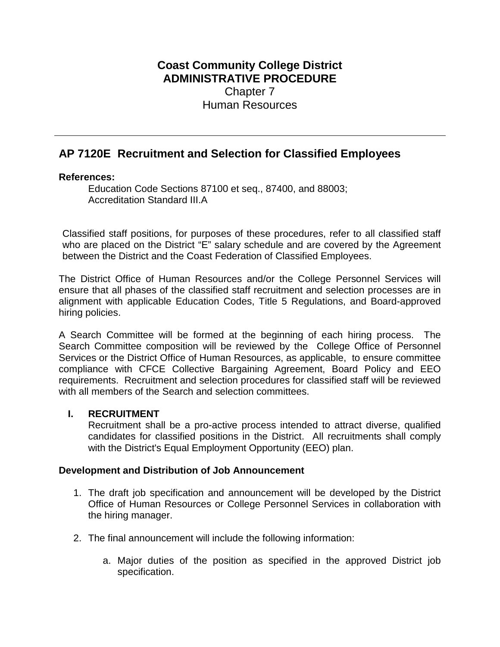# **Coast Community College District ADMINISTRATIVE PROCEDURE** Chapter 7 Human Resources

# **AP 7120E Recruitment and Selection for Classified Employees**

# **References:**

Education Code Sections 87100 et seq., 87400, and 88003; Accreditation Standard III.A

Classified staff positions, for purposes of these procedures, refer to all classified staff who are placed on the District "E" salary schedule and are covered by the Agreement between the District and the Coast Federation of Classified Employees.

The District Office of Human Resources and/or the College Personnel Services will ensure that all phases of the classified staff recruitment and selection processes are in alignment with applicable Education Codes, Title 5 Regulations, and Board-approved hiring policies.

A Search Committee will be formed at the beginning of each hiring process. The Search Committee composition will be reviewed by the College Office of Personnel Services or the District Office of Human Resources, as applicable, to ensure committee compliance with CFCE Collective Bargaining Agreement, Board Policy and EEO requirements. Recruitment and selection procedures for classified staff will be reviewed with all members of the Search and selection committees.

# **I. RECRUITMENT**

Recruitment shall be a pro-active process intended to attract diverse, qualified candidates for classified positions in the District. All recruitments shall comply with the District's Equal Employment Opportunity (EEO) plan.

# **Development and Distribution of Job Announcement**

- 1. The draft job specification and announcement will be developed by the District Office of Human Resources or College Personnel Services in collaboration with the hiring manager.
- 2. The final announcement will include the following information:
	- a. Major duties of the position as specified in the approved District job specification.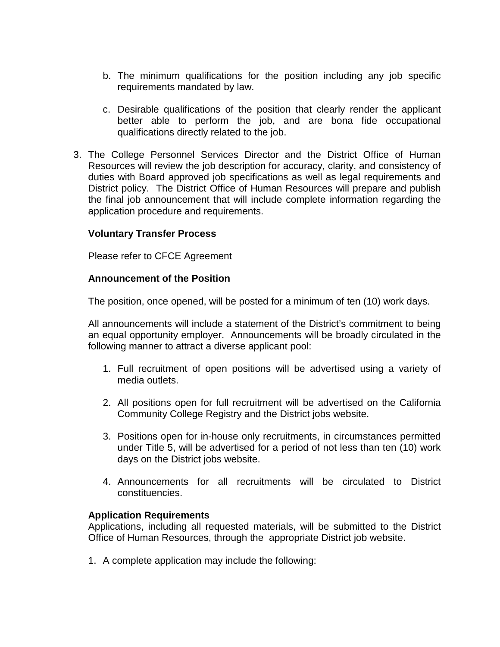- b. The minimum qualifications for the position including any job specific requirements mandated by law.
- c. Desirable qualifications of the position that clearly render the applicant better able to perform the job, and are bona fide occupational qualifications directly related to the job.
- 3. The College Personnel Services Director and the District Office of Human Resources will review the job description for accuracy, clarity, and consistency of duties with Board approved job specifications as well as legal requirements and District policy. The District Office of Human Resources will prepare and publish the final job announcement that will include complete information regarding the application procedure and requirements.

# **Voluntary Transfer Process**

Please refer to CFCE Agreement

### **Announcement of the Position**

The position, once opened, will be posted for a minimum of ten (10) work days.

All announcements will include a statement of the District's commitment to being an equal opportunity employer. Announcements will be broadly circulated in the following manner to attract a diverse applicant pool:

- 1. Full recruitment of open positions will be advertised using a variety of media outlets.
- 2. All positions open for full recruitment will be advertised on the California Community College Registry and the District jobs website.
- 3. Positions open for in-house only recruitments, in circumstances permitted under Title 5, will be advertised for a period of not less than ten (10) work days on the District jobs website.
- 4. Announcements for all recruitments will be circulated to District constituencies.

### **Application Requirements**

Applications, including all requested materials, will be submitted to the District Office of Human Resources, through the appropriate District job website.

1. A complete application may include the following: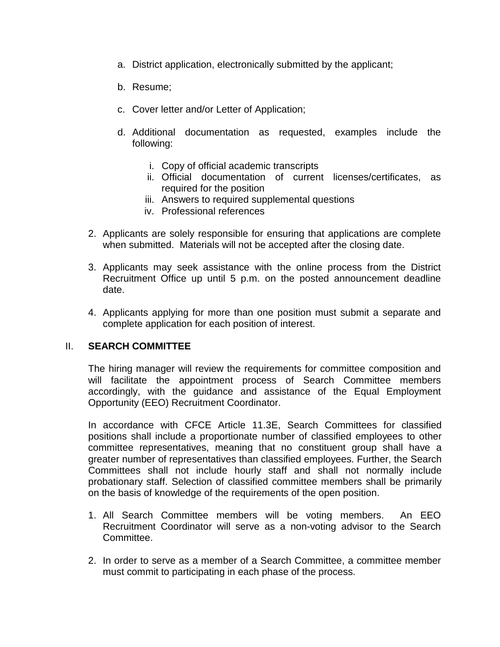- a. District application, electronically submitted by the applicant;
- b. Resume;
- c. Cover letter and/or Letter of Application;
- d. Additional documentation as requested, examples include the following:
	- i. Copy of official academic transcripts
	- ii. Official documentation of current licenses/certificates, as required for the position
	- iii. Answers to required supplemental questions
	- iv. Professional references
- 2. Applicants are solely responsible for ensuring that applications are complete when submitted. Materials will not be accepted after the closing date.
- 3. Applicants may seek assistance with the online process from the District Recruitment Office up until 5 p.m. on the posted announcement deadline date.
- 4. Applicants applying for more than one position must submit a separate and complete application for each position of interest.

### II. **SEARCH COMMITTEE**

The hiring manager will review the requirements for committee composition and will facilitate the appointment process of Search Committee members accordingly, with the guidance and assistance of the Equal Employment Opportunity (EEO) Recruitment Coordinator.

In accordance with CFCE Article 11.3E, Search Committees for classified positions shall include a proportionate number of classified employees to other committee representatives, meaning that no constituent group shall have a greater number of representatives than classified employees. Further, the Search Committees shall not include hourly staff and shall not normally include probationary staff. Selection of classified committee members shall be primarily on the basis of knowledge of the requirements of the open position.

- 1. All Search Committee members will be voting members. An EEO Recruitment Coordinator will serve as a non-voting advisor to the Search Committee.
- 2. In order to serve as a member of a Search Committee, a committee member must commit to participating in each phase of the process.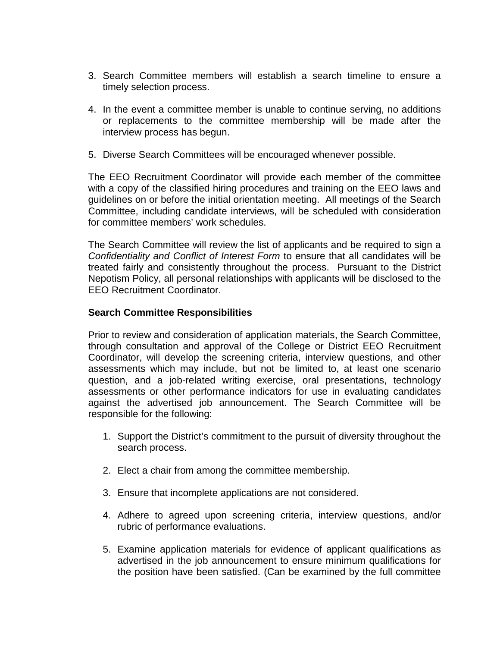- 3. Search Committee members will establish a search timeline to ensure a timely selection process.
- 4. In the event a committee member is unable to continue serving, no additions or replacements to the committee membership will be made after the interview process has begun.
- 5. Diverse Search Committees will be encouraged whenever possible.

The EEO Recruitment Coordinator will provide each member of the committee with a copy of the classified hiring procedures and training on the EEO laws and guidelines on or before the initial orientation meeting. All meetings of the Search Committee, including candidate interviews, will be scheduled with consideration for committee members' work schedules.

The Search Committee will review the list of applicants and be required to sign a *Confidentiality and Conflict of Interest Form* to ensure that all candidates will be treated fairly and consistently throughout the process. Pursuant to the District Nepotism Policy, all personal relationships with applicants will be disclosed to the EEO Recruitment Coordinator.

# **Search Committee Responsibilities**

Prior to review and consideration of application materials, the Search Committee, through consultation and approval of the College or District EEO Recruitment Coordinator, will develop the screening criteria, interview questions, and other assessments which may include, but not be limited to, at least one scenario question, and a job-related writing exercise, oral presentations, technology assessments or other performance indicators for use in evaluating candidates against the advertised job announcement. The Search Committee will be responsible for the following:

- 1. Support the District's commitment to the pursuit of diversity throughout the search process.
- 2. Elect a chair from among the committee membership.
- 3. Ensure that incomplete applications are not considered.
- 4. Adhere to agreed upon screening criteria, interview questions, and/or rubric of performance evaluations.
- 5. Examine application materials for evidence of applicant qualifications as advertised in the job announcement to ensure minimum qualifications for the position have been satisfied. (Can be examined by the full committee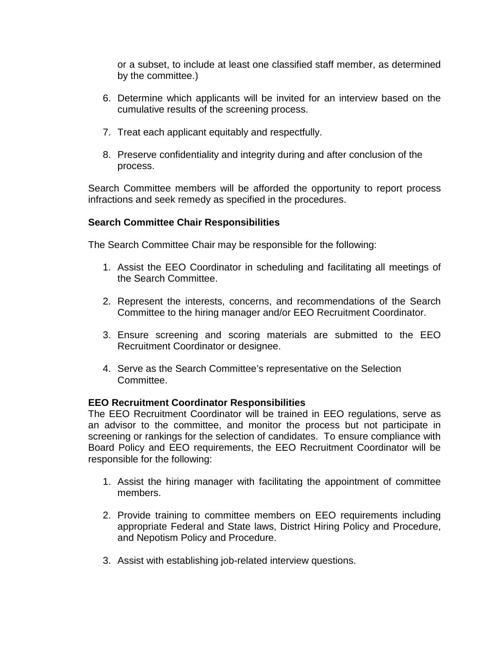or a subset, to include at least one classified staff member, as determined by the committee.)

- 6. Determine which applicants will be invited for an interview based on the cumulative results of the screening process.
- 7. Treat each applicant equitably and respectfully.
- 8. Preserve confidentiality and integrity during and after conclusion of the process.

Search Committee members will be afforded the opportunity to report process infractions and seek remedy as specified in the procedures.

# **Search Committee Chair Responsibilities**

The Search Committee Chair may be responsible for the following:

- 1. Assist the EEO Coordinator in scheduling and facilitating all meetings of the Search Committee.
- 2. Represent the interests, concerns, and recommendations of the Search Committee to the hiring manager and/or EEO Recruitment Coordinator.
- 3. Ensure screening and scoring materials are submitted to the EEO Recruitment Coordinator or designee.
- 4. Serve as the Search Committee's representative on the Selection Committee.

# **EEO Recruitment Coordinator Responsibilities**

The EEO Recruitment Coordinator will be trained in EEO regulations, serve as an advisor to the committee, and monitor the process but not participate in screening or rankings for the selection of candidates. To ensure compliance with Board Policy and EEO requirements, the EEO Recruitment Coordinator will be responsible for the following:

- 1. Assist the hiring manager with facilitating the appointment of committee members.
- 2. Provide training to committee members on EEO requirements including appropriate Federal and State laws, District Hiring Policy and Procedure, and Nepotism Policy and Procedure.
- 3. Assist with establishing job-related interview questions.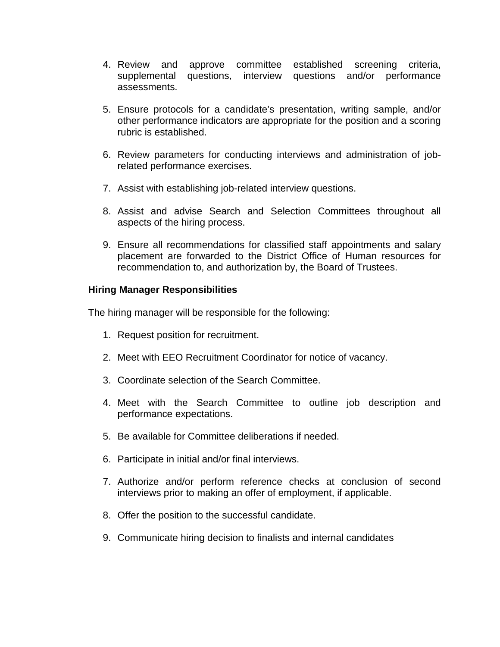- 4. Review and approve committee established screening criteria, supplemental questions, interview questions and/or performance assessments.
- 5. Ensure protocols for a candidate's presentation, writing sample, and/or other performance indicators are appropriate for the position and a scoring rubric is established.
- 6. Review parameters for conducting interviews and administration of jobrelated performance exercises.
- 7. Assist with establishing job-related interview questions.
- 8. Assist and advise Search and Selection Committees throughout all aspects of the hiring process.
- 9. Ensure all recommendations for classified staff appointments and salary placement are forwarded to the District Office of Human resources for recommendation to, and authorization by, the Board of Trustees.

# **Hiring Manager Responsibilities**

The hiring manager will be responsible for the following:

- 1. Request position for recruitment.
- 2. Meet with EEO Recruitment Coordinator for notice of vacancy.
- 3. Coordinate selection of the Search Committee.
- 4. Meet with the Search Committee to outline job description and performance expectations.
- 5. Be available for Committee deliberations if needed.
- 6. Participate in initial and/or final interviews.
- 7. Authorize and/or perform reference checks at conclusion of second interviews prior to making an offer of employment, if applicable.
- 8. Offer the position to the successful candidate.
- 9. Communicate hiring decision to finalists and internal candidates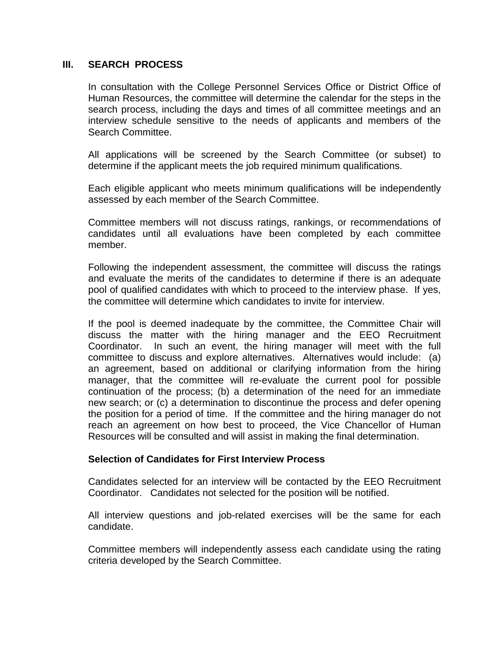### **III. SEARCH PROCESS**

In consultation with the College Personnel Services Office or District Office of Human Resources, the committee will determine the calendar for the steps in the search process, including the days and times of all committee meetings and an interview schedule sensitive to the needs of applicants and members of the Search Committee.

All applications will be screened by the Search Committee (or subset) to determine if the applicant meets the job required minimum qualifications.

Each eligible applicant who meets minimum qualifications will be independently assessed by each member of the Search Committee.

Committee members will not discuss ratings, rankings, or recommendations of candidates until all evaluations have been completed by each committee member.

Following the independent assessment, the committee will discuss the ratings and evaluate the merits of the candidates to determine if there is an adequate pool of qualified candidates with which to proceed to the interview phase. If yes, the committee will determine which candidates to invite for interview.

If the pool is deemed inadequate by the committee, the Committee Chair will discuss the matter with the hiring manager and the EEO Recruitment Coordinator. In such an event, the hiring manager will meet with the full committee to discuss and explore alternatives. Alternatives would include: (a) an agreement, based on additional or clarifying information from the hiring manager, that the committee will re-evaluate the current pool for possible continuation of the process; (b) a determination of the need for an immediate new search; or (c) a determination to discontinue the process and defer opening the position for a period of time. If the committee and the hiring manager do not reach an agreement on how best to proceed, the Vice Chancellor of Human Resources will be consulted and will assist in making the final determination.

### **Selection of Candidates for First Interview Process**

Candidates selected for an interview will be contacted by the EEO Recruitment Coordinator. Candidates not selected for the position will be notified.

All interview questions and job-related exercises will be the same for each candidate.

Committee members will independently assess each candidate using the rating criteria developed by the Search Committee.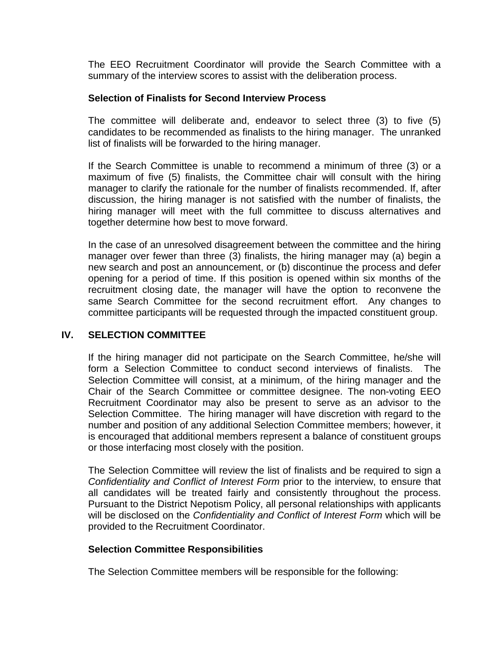The EEO Recruitment Coordinator will provide the Search Committee with a summary of the interview scores to assist with the deliberation process.

### **Selection of Finalists for Second Interview Process**

The committee will deliberate and, endeavor to select three (3) to five (5) candidates to be recommended as finalists to the hiring manager. The unranked list of finalists will be forwarded to the hiring manager.

If the Search Committee is unable to recommend a minimum of three (3) or a maximum of five (5) finalists, the Committee chair will consult with the hiring manager to clarify the rationale for the number of finalists recommended. If, after discussion, the hiring manager is not satisfied with the number of finalists, the hiring manager will meet with the full committee to discuss alternatives and together determine how best to move forward.

In the case of an unresolved disagreement between the committee and the hiring manager over fewer than three (3) finalists, the hiring manager may (a) begin a new search and post an announcement, or (b) discontinue the process and defer opening for a period of time. If this position is opened within six months of the recruitment closing date, the manager will have the option to reconvene the same Search Committee for the second recruitment effort. Any changes to committee participants will be requested through the impacted constituent group.

# **IV. SELECTION COMMITTEE**

If the hiring manager did not participate on the Search Committee, he/she will form a Selection Committee to conduct second interviews of finalists. The Selection Committee will consist, at a minimum, of the hiring manager and the Chair of the Search Committee or committee designee. The non-voting EEO Recruitment Coordinator may also be present to serve as an advisor to the Selection Committee. The hiring manager will have discretion with regard to the number and position of any additional Selection Committee members; however, it is encouraged that additional members represent a balance of constituent groups or those interfacing most closely with the position.

The Selection Committee will review the list of finalists and be required to sign a *Confidentiality and Conflict of Interest Form* prior to the interview, to ensure that all candidates will be treated fairly and consistently throughout the process. Pursuant to the District Nepotism Policy, all personal relationships with applicants will be disclosed on the *Confidentiality and Conflict of Interest Form* which will be provided to the Recruitment Coordinator.

# **Selection Committee Responsibilities**

The Selection Committee members will be responsible for the following: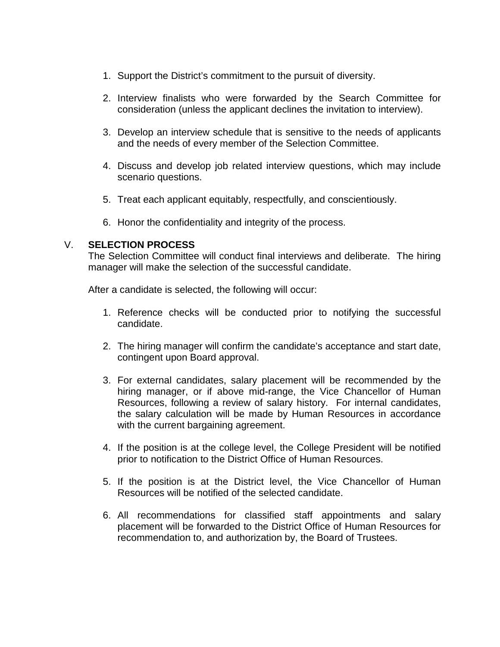- 1. Support the District's commitment to the pursuit of diversity.
- 2. Interview finalists who were forwarded by the Search Committee for consideration (unless the applicant declines the invitation to interview).
- 3. Develop an interview schedule that is sensitive to the needs of applicants and the needs of every member of the Selection Committee.
- 4. Discuss and develop job related interview questions, which may include scenario questions.
- 5. Treat each applicant equitably, respectfully, and conscientiously.
- 6. Honor the confidentiality and integrity of the process.

### V. **SELECTION PROCESS**

The Selection Committee will conduct final interviews and deliberate. The hiring manager will make the selection of the successful candidate.

After a candidate is selected, the following will occur:

- 1. Reference checks will be conducted prior to notifying the successful candidate.
- 2. The hiring manager will confirm the candidate's acceptance and start date, contingent upon Board approval.
- 3. For external candidates, salary placement will be recommended by the hiring manager, or if above mid-range, the Vice Chancellor of Human Resources, following a review of salary history. For internal candidates, the salary calculation will be made by Human Resources in accordance with the current bargaining agreement.
- 4. If the position is at the college level, the College President will be notified prior to notification to the District Office of Human Resources.
- 5. If the position is at the District level, the Vice Chancellor of Human Resources will be notified of the selected candidate.
- 6. All recommendations for classified staff appointments and salary placement will be forwarded to the District Office of Human Resources for recommendation to, and authorization by, the Board of Trustees.